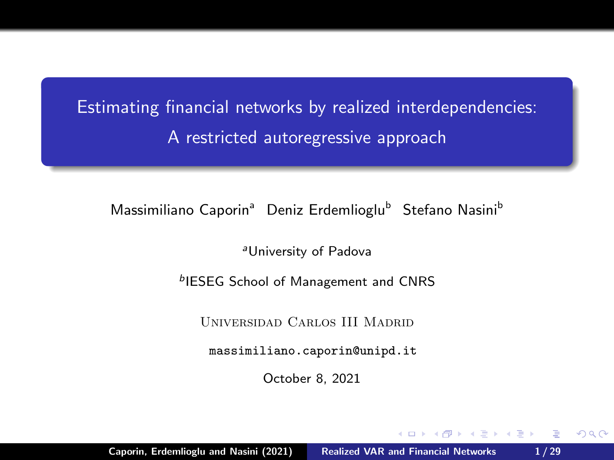<span id="page-0-0"></span>Estimating financial networks by realized interdependencies: A restricted autoregressive approach

Massimiliano Caporin<sup>a</sup> Deniz Erdemlioglu<sup>b</sup> Stefano Nasini<sup>b</sup>

<sup>a</sup>University of Padova

**bIESEG School of Management and CNRS** 

Universidad Carlos III Madrid

<massimiliano.caporin@unipd.it>

October 8, 2021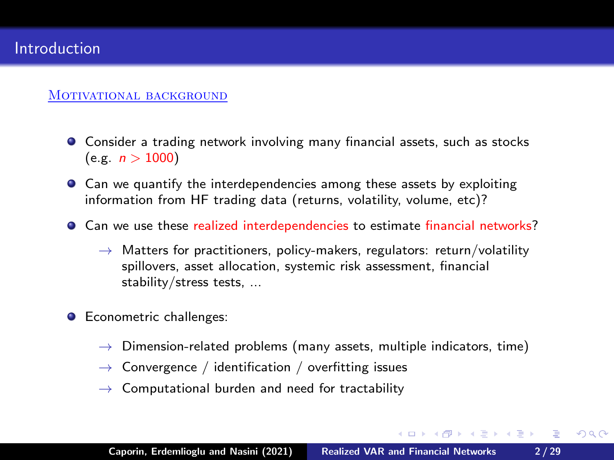### MOTIVATIONAL BACKGROUND

- Consider a trading network involving many financial assets, such as stocks  $(e.g. n > 1000)$
- Can we quantify the interdependencies among these assets by exploiting information from HF trading data (returns, volatility, volume, etc)?
- Can we use these realized interdependencies to estimate financial networks?
	- $\rightarrow$  Matters for practitioners, policy-makers, regulators: return/volatility spillovers, asset allocation, systemic risk assessment, financial stability/stress tests, ...
- **C** Econometric challenges:
	- $\rightarrow$  Dimension-related problems (many assets, multiple indicators, time)
	- $\rightarrow$  Convergence / identification / overfitting issues
	- $\rightarrow$  Computational burden and need for tractability

K ロ ▶ K 御 ▶ K 君 ▶ K 君 ▶ ...

 $\equiv$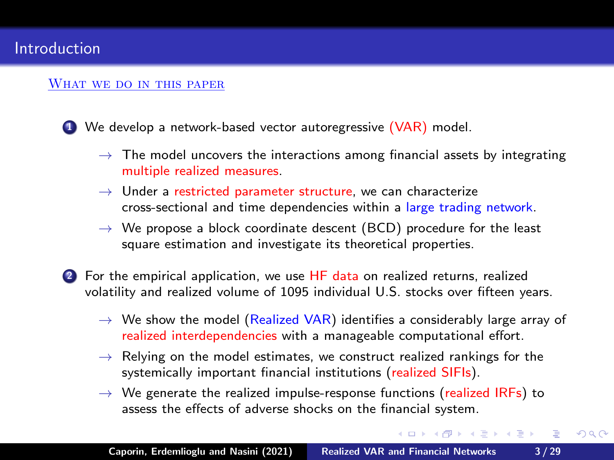#### <span id="page-2-0"></span>WHAT WE DO IN THIS PAPER

**1** We develop a network-based vector autoregressive (VAR) model.

- $\rightarrow$  The model uncovers the interactions among financial assets by integrating multiple realized measures.
- $\rightarrow$  Under a restricted parameter structure, we can characterize cross-sectional and time dependencies within a large trading network.
- $\rightarrow$  We propose a block coordinate descent (BCD) procedure for the least square estimation and investigate its theoretical properties.
- 2 For the empirical application, we use HF data on realized returns, realized volatility and realized volume of 1095 individual U.S. stocks over fifteen years.
	- $\rightarrow$  We show the model (Realized VAR) identifies a considerably large array of realized interdependencies with a manageable computational effort.
	- $\rightarrow$  Relying on the model estimates, we construct realized rankings for the systemically important financial institutions (realized SIFIs).
	- $\rightarrow$  We generate the realized impulse-response functions (realized IRFs) to assess the effects of adverse shocks on the financial system.

イロト イ押 トイモト イモト

 $\equiv$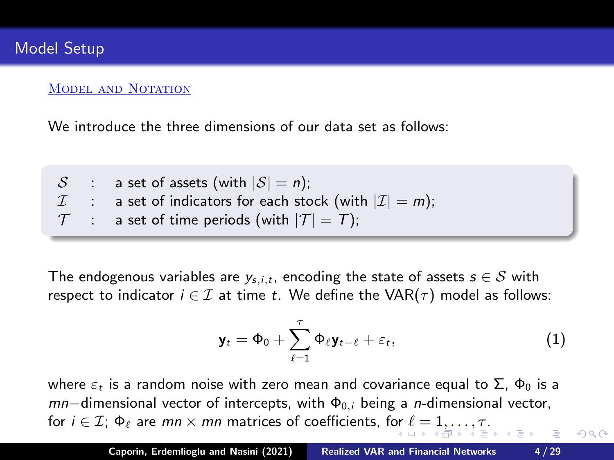### <span id="page-3-0"></span>MODEL AND NOTATION

We introduce the three dimensions of our data set as follows:

 $S$  : a set of assets (with  $|S| = n$ );  $\mathcal{I}$  : a set of indicators for each stock (with  $|\mathcal{I}| = m$ );  $\mathcal{T}$  : a set of time periods (with  $|\mathcal{T}| = T$ );

The endogenous variables are  $y_{s,i,t}$ , encoding the state of assets  $s \in S$  with respect to indicator  $i \in \mathcal{I}$  at time t. We define the VAR( $\tau$ ) model as follows:

$$
\mathbf{y}_t = \Phi_0 + \sum_{\ell=1}^{\tau} \Phi_{\ell} \mathbf{y}_{t-\ell} + \varepsilon_t, \qquad (1)
$$

 $2Q$ 

where  $\varepsilon_t$  is a random noise with zero mean and covariance equal to  $\Sigma$ ,  $\Phi_0$  is a  $mn$ −dimensional vector of intercepts, with  $\Phi_{0,i}$  being a *n*-dimensional vector, for $i \in \mathcal{I}$ ;  $\Phi_{\ell}$  are  $mn \times mn$  matrices of coefficients, f[or](#page-2-0)  $\ell = 1, ..., \tau$  $\ell = 1, ..., \tau$  $\ell = 1, ..., \tau$  $\ell = 1, ..., \tau$  $\ell = 1, ..., \tau$  $\ell = 1, ..., \tau$ .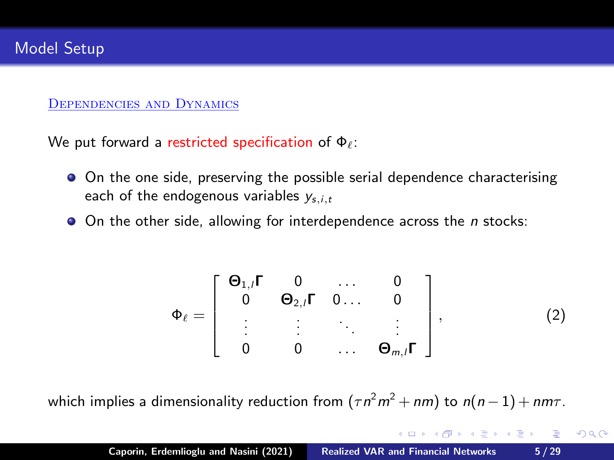#### <span id="page-4-0"></span>Dependencies and Dynamics

We put forward a restricted specification of  $\Phi_{\ell}$ :

- On the one side, preserving the possible serial dependence characterising each of the endogenous variables  $y_{s,i,t}$
- $\bullet$  On the other side, allowing for interdependence across the *n* stocks:

$$
\Phi_{\ell} = \left[ \begin{array}{cccc} \Theta_{1,i} \Gamma & 0 & \dots & 0 \\ 0 & \Theta_{2,i} \Gamma & 0 \dots & 0 \\ \vdots & \vdots & \ddots & \vdots \\ 0 & 0 & \dots & \Theta_{m,i} \Gamma \end{array} \right],
$$
(2)

K ロ ▶ K 御 ▶ K 君 ▶ K 君 ▶ ...

 $2Q$ 

which implies a dimensionality reduction from  $(\tau n^2m^2 + nm)$  to  $n(n-1) + nm\tau$  .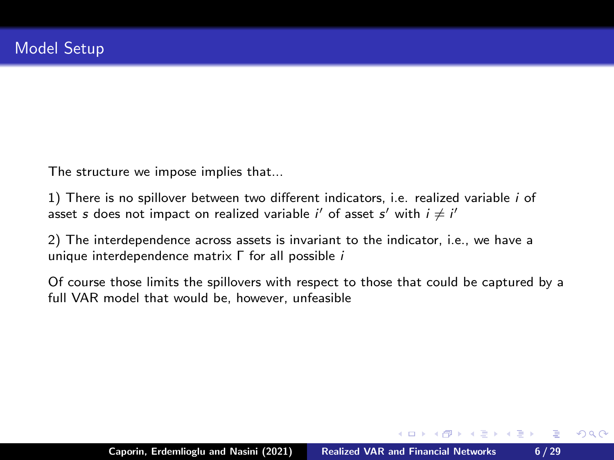The structure we impose implies that...

1) There is no spillover between two different indicators, i.e. realized variable i of asset s does not impact on realized variable i' of asset s' with  $i \neq i'$ 

2) The interdependence across assets is invariant to the indicator, i.e., we have a unique interdependence matrix Γ for all possible i

Of course those limits the spillovers with respect to those that could be captured by a full VAR model that would be, however, unfeasible

**K ロ ト K 倒 ト K ミ ト** 

(大震 トー

店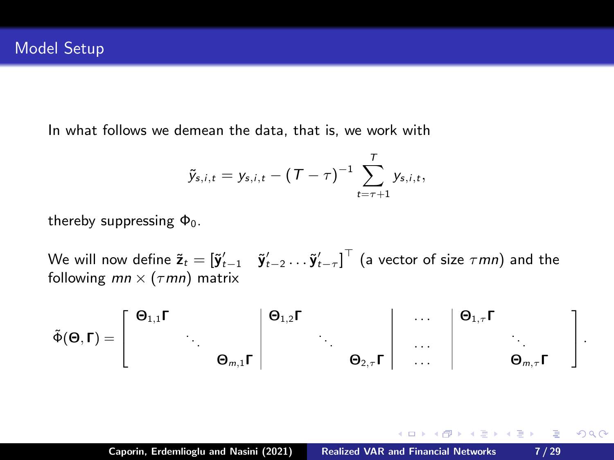In what follows we demean the data, that is, we work with

$$
\tilde{y}_{s,i,t} = y_{s,i,t} - (T - \tau)^{-1} \sum_{t=\tau+1}^{T} y_{s,i,t},
$$

thereby suppressing  $\Phi_0$ .

We will now define  $\tilde{\textbf{z}}_t = [\tilde{\textbf{y}}_{t-1}' \quad \tilde{\textbf{y}}_{t-2}' \dots \tilde{\textbf{y}}_{t-\tau}']^\top$  (a vector of size  $\tau$ mn) and the following  $mn \times (\tau mn)$  matrix

 $\tilde{\Phi}(\mathbf{\Theta},\mathbf{\Gamma})=% {\textstyle\sum\nolimits_{\alpha}} e_{\alpha}/2\pi\varepsilon_{0}\sum_{\alpha,\beta}\left( \Phi_{\alpha\beta}\left( \mathbf{r}-\mathbf{r}\right) \mathbf{r}_{\alpha}\right) \mathbf{0}. \label{eq:Phi}$ T  $\overline{\phantom{a}}$  $\Theta_{1,1}$ Γ  $\qquad \qquad \vert \quad \Theta_{1,2}$ Γ  $\qquad \qquad \vert \quad \ldots \quad \vert \quad \Theta_{1,\tau}$ Γ . . . . . . . . . . . .  $\Theta_{m,1}$ Γ  $\vert$   $\qquad \qquad \Theta_{2,\tau}$ Γ  $\vert$   $\qquad \ldots \qquad \vert$   $\qquad \qquad \Theta_{m,\tau}$ Γ ı  $\vert \cdot$ 

メタトメ ミトメ ミトリ 毛

 $QQ$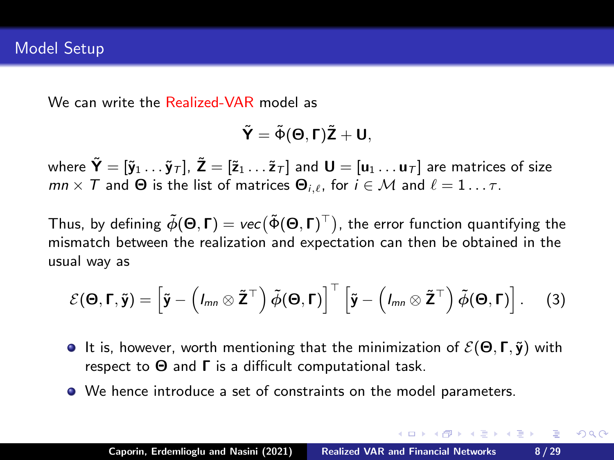We can write the Realized-VAR model as

$$
\tilde{\bm{Y}}=\tilde{\bm{\Phi}}(\bm{\Theta},\bm{\Gamma})\tilde{\bm{Z}}+\bm{U},
$$

where  $\tilde{\mathbf{Y}} = [\tilde{\mathbf{y}}_1 \dots \tilde{\mathbf{y}}_T]$ ,  $\tilde{\mathbf{Z}} = [\tilde{\mathbf{z}}_1 \dots \tilde{\mathbf{z}}_T]$  and  $\mathbf{U} = [\mathbf{u}_1 \dots \mathbf{u}_T]$  are matrices of size  $mn \times T$  and  $\Theta$  is the list of matrices  $\Theta_{i,\ell}$ , for  $i \in \mathcal{M}$  and  $\ell = 1 \dots \tau$ .

Thus, by defining  $\tilde{\phi}(\Theta,\Gamma)=\textit{vec}(\tilde{\Phi}(\Theta,\Gamma)^\top)$ , the error function quantifying the mismatch between the realization and expectation can then be obtained in the usual way as

$$
\mathcal{E}(\mathbf{\Theta},\mathbf{\Gamma},\tilde{\mathbf{y}})=\left[\tilde{\mathbf{y}}-\left(l_{mn}\otimes\tilde{\mathbf{Z}}^{\top}\right)\tilde{\phi}(\mathbf{\Theta},\mathbf{\Gamma})\right]^{\top}\left[\tilde{\mathbf{y}}-\left(l_{mn}\otimes\tilde{\mathbf{Z}}^{\top}\right)\tilde{\phi}(\mathbf{\Theta},\mathbf{\Gamma})\right].
$$
 (3)

- **It is, however, worth mentioning that the minimization of**  $\mathcal{E}(\Theta, \Gamma, \tilde{\mathbf{y}})$  **with** respect to  $\Theta$  and  $\Gamma$  is a difficult computational task.
- We hence introduce a set of constraints on the model parameters.

K ロ ⊁ K 何 ≯ K ミ ⊁ K ミ ⊁ …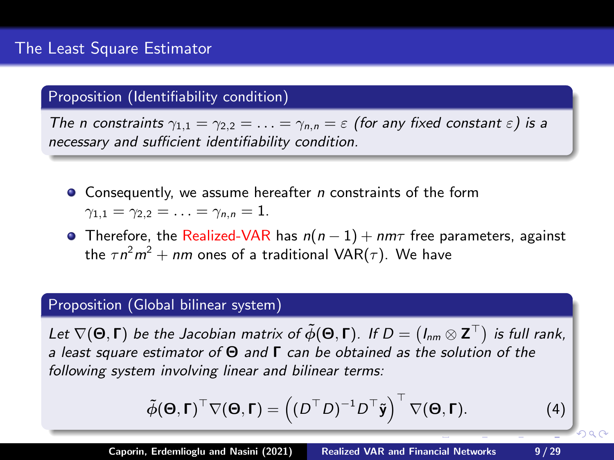### Proposition (Identifiability condition)

The n constraints  $\gamma_{1,1} = \gamma_{2,2} = \ldots = \gamma_{n,n} = \varepsilon$  (for any fixed constant  $\varepsilon$ ) is a necessary and sufficient identifiability condition.

- $\bullet$  Consequently, we assume hereafter *n* constraints of the form  $\gamma_{1,1} = \gamma_{2,2} = \ldots = \gamma_{n,n} = 1.$
- **•** Therefore, the Realized-VAR has  $n(n-1) + nm\tau$  free parameters, against the  $\tau n^2m^2+nm$  ones of a traditional VAR( $\tau$ ). We have

## Proposition (Global bilinear system)

Let  $\nabla(\Theta,\Gamma)$  be the Jacobian matrix of  $\tilde{\phi}(\Theta,\Gamma)$ . If  $D=(I_{nm}\otimes{\bf Z}^\top)$  is full rank, a least square estimator of  $\Theta$  and  $\Gamma$  can be obtained as the solution of the following system involving linear and bilinear terms:

$$
\tilde{\phi}(\mathbf{\Theta}, \mathbf{\Gamma})^{\top} \nabla (\mathbf{\Theta}, \mathbf{\Gamma}) = ((D^{\top} D)^{-1} D^{\top} \tilde{\mathbf{y}})^{\top} \nabla (\mathbf{\Theta}, \mathbf{\Gamma}). \tag{4}
$$

 $\Omega$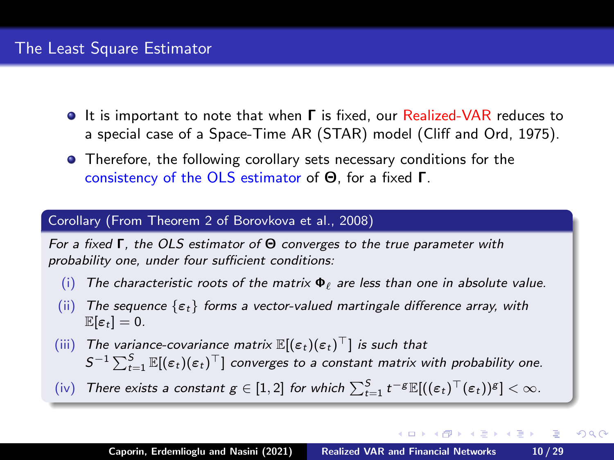- **It is important to note that when Γ is fixed, our Realized-VAR reduces to** a special case of a Space-Time AR (STAR) model (Cliff and Ord, 1975).
- **•** Therefore, the following corollary sets necessary conditions for the consistency of the OLS estimator of Θ, for a fixed Γ.

### Corollary (From Theorem 2 of Borovkova et al., 2008)

For a fixed Γ, the OLS estimator of Θ converges to the true parameter with probability one, under four sufficient conditions:

- (i) The characteristic roots of the matrix  $\Phi_{\ell}$  are less than one in absolute value.
- (ii) The sequence  $\{\varepsilon_t\}$  forms a vector-valued martingale difference array, with  $\mathbb{E}[\varepsilon_t] = 0.$
- (iii) The variance-covariance matrix  $\mathbb{E}[(\varepsilon_t)(\varepsilon_t)^\top]$  is such that  $S^{-1}\sum_{t=1}^S \mathbb{E}[(\varepsilon_t)(\varepsilon_t)^\top]$  converges to a constant matrix with probability one.
- (iv) There exists a constant  $g \in [1,2]$  for which  $\sum_{t=1}^{S} t^{-g} \mathbb{E}[((\varepsilon_t)^{\top}(\varepsilon_t))^g] < \infty$ .

 $(1, 1)$   $(1, 1)$   $(1, 1)$   $(1, 1)$   $(1, 1)$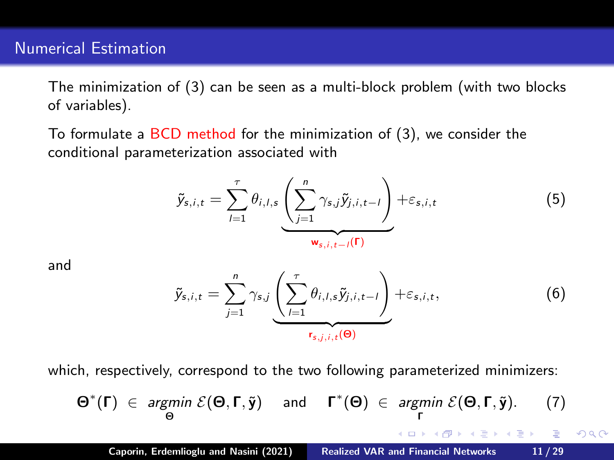## Numerical Estimation

The minimization of (3) can be seen as a multi-block problem (with two blocks of variables).

To formulate a BCD method for the minimization of (3), we consider the conditional parameterization associated with

$$
\tilde{y}_{s,i,t} = \sum_{l=1}^{\tau} \theta_{i,l,s} \underbrace{\left(\sum_{j=1}^{n} \gamma_{s,j} \tilde{y}_{j,i,t-l}\right)}_{\mathbf{w}_{s,i,t-l}(\Gamma)} + \varepsilon_{s,i,t}
$$
\n(5)

and

$$
\tilde{y}_{s,i,t} = \sum_{j=1}^{n} \gamma_{s,j} \underbrace{\left(\sum_{l=1}^{\tau} \theta_{i,l,s} \tilde{y}_{j,i,t-l}\right)}_{r_{s,j,i,t}(\Theta)} + \varepsilon_{s,i,t}, \qquad (6)
$$

which, respectively, correspond to the two following parameterized minimizers:

$$
\Theta^*(\Gamma) \in \underset{\Theta}{\text{argmin}} \ \mathcal{E}(\Theta, \Gamma, \tilde{\mathbf{y}}) \quad \text{and} \quad \Gamma^*(\Theta) \in \underset{\Gamma}{\text{argmin}} \ \mathcal{E}(\Theta, \Gamma, \tilde{\mathbf{y}}). \tag{7}
$$
\nCaporin, Erdemlioglu and Nasini (2021)  Realized VAR and Financial Networks     11/29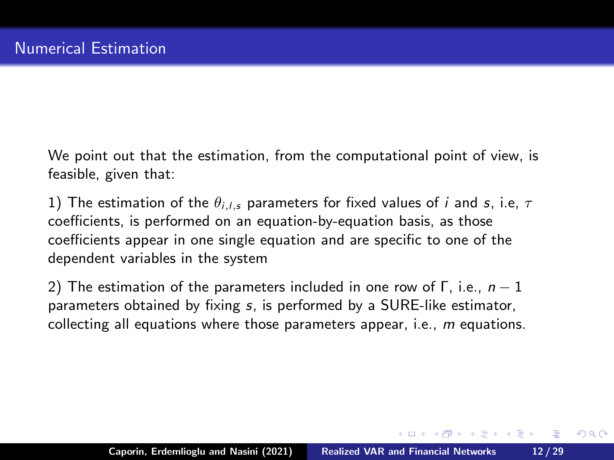We point out that the estimation, from the computational point of view, is feasible, given that:

1) The estimation of the  $\theta_{i,l,s}$  parameters for fixed values of *i* and *s*, i.e,  $\tau$ coefficients, is performed on an equation-by-equation basis, as those coefficients appear in one single equation and are specific to one of the dependent variables in the system

2) The estimation of the parameters included in one row of  $\Gamma$ , i.e.,  $n-1$ parameters obtained by fixing s, is performed by a SURE-like estimator, collecting all equations where those parameters appear, i.e.,  $m$  equations.

 $(0,1)$   $(0,1)$   $(0,1)$   $(1,1)$   $(1,1)$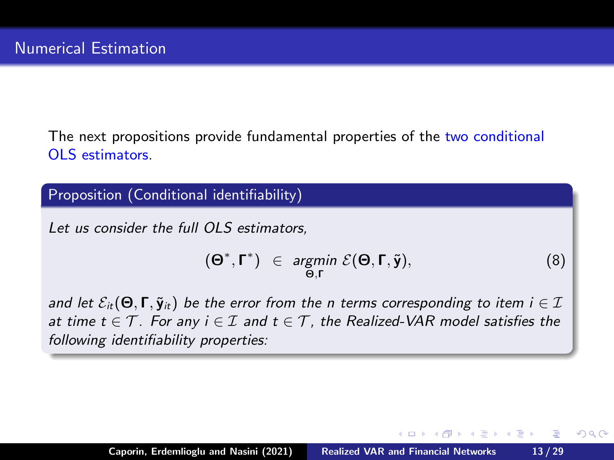The next propositions provide fundamental properties of the two conditional OLS estimators.

Proposition (Conditional identifiability)

Let us consider the full OLS estimators.

$$
(\Theta^*, \Gamma^*) \in \underset{\Theta, \Gamma}{\text{argmin}} \ \mathcal{E}(\Theta, \Gamma, \tilde{\mathbf{y}}), \tag{8}
$$

**K ロ ▶ K 御 ▶ K 君 ▶ K 君 ▶** 

 $\equiv$ 

 $QQ$ 

and let  $\mathcal{E}_{it}(\Theta, \Gamma, \tilde{\mathbf{y}}_{it})$  be the error from the n terms corresponding to item  $i \in \mathcal{I}$ at time  $t \in \mathcal{T}$ . For any  $i \in \mathcal{I}$  and  $t \in \mathcal{T}$ , the Realized-VAR model satisfies the following identifiability properties: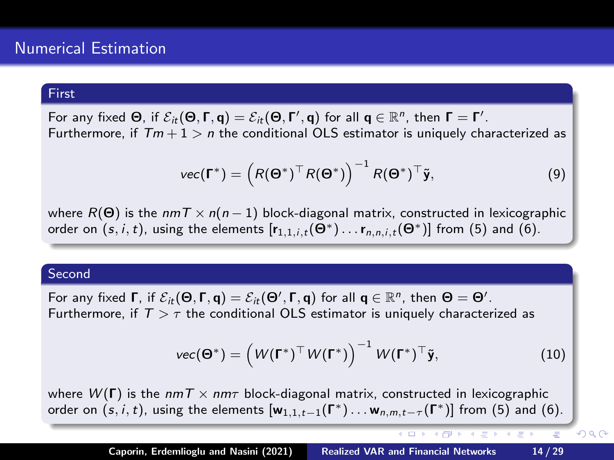#### First

For any fixed  $\Theta$ , if  $\mathcal{E}_{it}(\Theta,\Gamma,\mathsf{q})=\mathcal{E}_{it}(\Theta,\Gamma',\mathsf{q})$  for all  $\mathsf{q}\in\mathbb{R}^n$ , then  $\Gamma=\Gamma'.$ Furthermore, if  $Tm + 1 > n$  the conditional OLS estimator is uniquely characterized as

$$
\text{vec}(\Gamma^*) = \left(R(\Theta^*)^\top R(\Theta^*)\right)^{-1} R(\Theta^*)^\top \tilde{\mathbf{y}},\tag{9}
$$

where  $R(\Theta)$  is the nmT  $\times n(n-1)$  block-diagonal matrix, constructed in lexicographic order on  $(s, i, t)$ , using the elements  $[r_{1,1,i,t}(\Theta^*)\dots r_{n,n,i,t}(\Theta^*)]$  from (5) and (6).

### Second

For any fixed  $\Gamma$ , if  $\mathcal{E}_{it}(\Theta,\Gamma,\mathsf{q})=\mathcal{E}_{it}(\Theta',\Gamma,\mathsf{q})$  for all  $\mathsf{q}\in\mathbb{R}^n$ , then  $\Theta=\Theta'.$ Furthermore, if  $T > \tau$  the conditional OLS estimator is uniquely characterized as

$$
\text{vec}(\mathbf{\Theta}^*) = \left(W(\mathbf{\Gamma}^*)^\top W(\mathbf{\Gamma}^*)\right)^{-1} W(\mathbf{\Gamma}^*)^\top \tilde{\mathbf{y}},\tag{10}
$$

イロン イ御ン イミン イミン

 $2Q$ 

where  $W(\Gamma)$  is the  $nm\tau \times nm\tau$  block-diagonal matrix, constructed in lexicographic order on  $(s, i, t)$ , using the elements  $[w_{1,1,t-1}(\Gamma^*) \dots w_{n,m,t-\tau}(\Gamma^*)]$  from (5) and (6).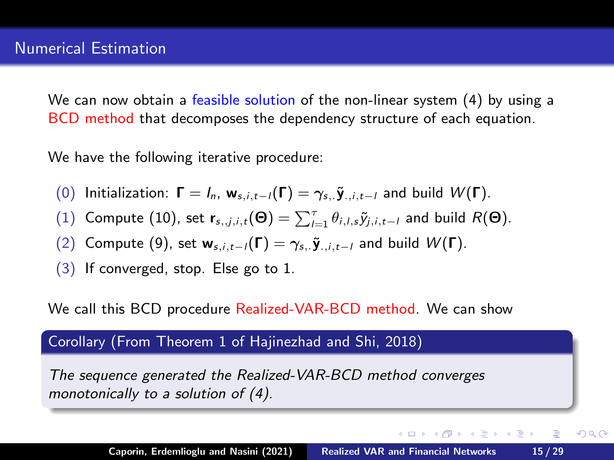We can now obtain a feasible solution of the non-linear system (4) by using a BCD method that decomposes the dependency structure of each equation.

We have the following iterative procedure:

- (0) Initialization:  $\mathbf{\Gamma} = I_n$ ,  $\mathbf{w}_{s,i,t-1}(\mathbf{\Gamma}) = \gamma_{s,i,t-1}$  and build  $W(\mathbf{\Gamma})$ .
- (1) Compute (10), set  $\mathbf{r}_{s,j,i,t}(\Theta) = \sum_{l=1}^{T} \theta_{i,l,s} \tilde{y}_{j,i,t-l}$  and build  $R(\Theta)$ .
- (2) Compute (9), set  $w_{s,i,t-l}(\Gamma) = \gamma_{s,i} \tilde{y}_{i,i,t-l}$  and build  $W(\Gamma)$ .
- (3) If converged, stop. Else go to 1.

We call this BCD procedure Realized-VAR-BCD method. We can show

### Corollary (From Theorem 1 of Hajinezhad and Shi, 2018)

The sequence generated the Realized-VAR-BCD method converges monotonically to a solution of (4).

イロメ イ押 トラ ミトラ ミント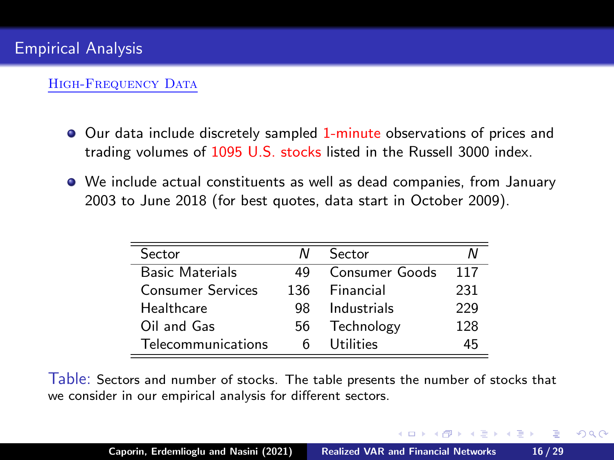### HIGH-FREQUENCY DATA

- Our data include discretely sampled 1-minute observations of prices and trading volumes of 1095 U.S. stocks listed in the Russell 3000 index.
- We include actual constituents as well as dead companies, from January 2003 to June 2018 (for best quotes, data start in October 2009).

| Sector                   | N   | Sector         |     |
|--------------------------|-----|----------------|-----|
| <b>Basic Materials</b>   | 49  | Consumer Goods | 117 |
| <b>Consumer Services</b> | 136 | Financial      | 231 |
| Healthcare               | 98  | Industrials    | 229 |
| Oil and Gas              | 56  | Technology     | 128 |
| Telecommunications       |     | Utilities      | 4հ  |

Table: Sectors and number of stocks. The table presents the number of stocks that we consider in our empirical analysis for different sectors.

K ロ ▶ K 御 ▶ K 결 ▶ K 결 ▶ │ 결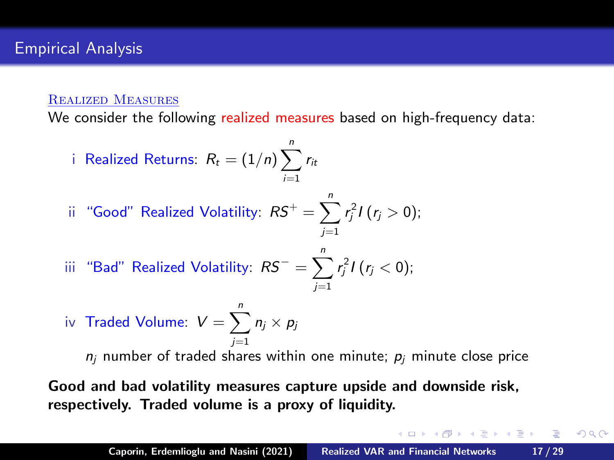### Realized Measures

We consider the following realized measures based on high-frequency data:

\n- i Realized Returns: 
$$
R_t = (1/n) \sum_{i=1}^{n} r_i
$$
\n- ii "Good" Realized Volatility:  $RS^+ = \sum_{j=1}^{n} r_j^2 I(r_j > 0)$ ;
\n- iii "Bad" Realized Volatility:  $RS^- = \sum_{j=1}^{n} r_j^2 I(r_j < 0)$ ;
\n

iv Traded Volume: 
$$
V = \sum_{j=1}^{n} n_j \times p_j
$$
\n*n<sub>j</sub>* number of traded shares within one minute; *p<sub>j</sub>* minute close price

Good and bad volatility measures capture upside and downside risk, respectively. Traded volume is a proxy of liquidity.

イロン イ団ン イミン イモンド ヨ

 $298$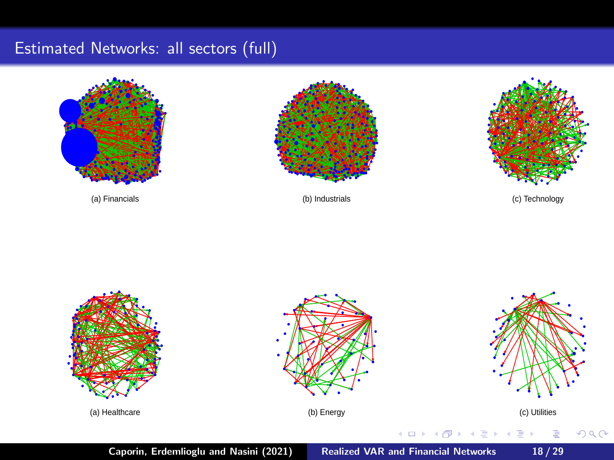# Estimated Networks: all sectors (full)







(a) Financials (b) Industrials (c) Technology

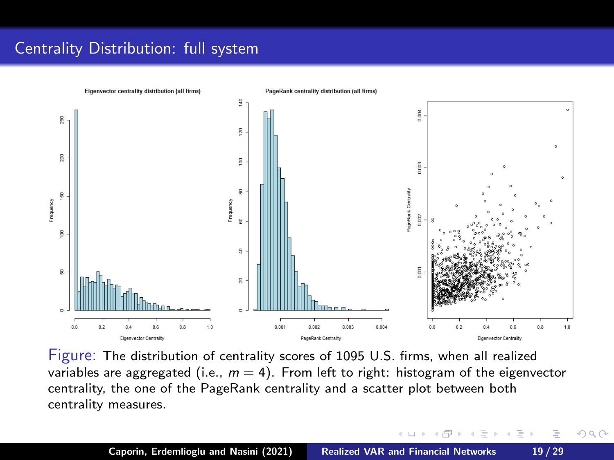# <span id="page-18-0"></span>Centrality Distribution: full system



Figure: The distribution of centrality scores of 1095 U.S. firms, when all realized variables are aggregated (i.e.,  $m = 4$ ). From left to right: histogram of the eigenvector centrality, the one of the PageRank centrality and a scatter plot between both centrality measures.

**← ロ → → 伊 → →**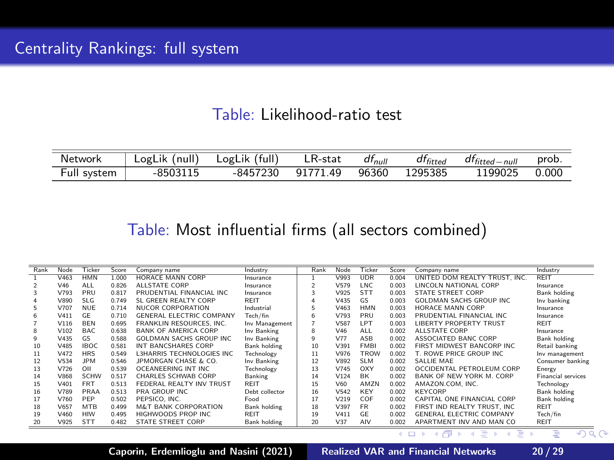## Table: Likelihood-ratio test

<span id="page-19-0"></span>

| Network     | LogLik (null) LogLik (full) | LR-stat           | $df_{null}$ | $df_{fitted}$ | $dt_{fitted-null}$ | prob. |
|-------------|-----------------------------|-------------------|-------------|---------------|--------------------|-------|
| Full system | -8503115                    | -8457230 91771.49 |             | 96360 1295385 | 1199025            | 0.000 |

## Table: Most influential firms (all sectors combined)

| Rank | Node | Ticker      | Score | Company name                    | Industry       | Rank | Node            | Ticker      | Score | Company name                     | Industry                  |
|------|------|-------------|-------|---------------------------------|----------------|------|-----------------|-------------|-------|----------------------------------|---------------------------|
|      | V463 | <b>HMN</b>  | 1.000 | <b>HORACE MANN CORP</b>         | Insurance      |      | V993            | <b>UDR</b>  | 0.004 | UNITED DOM REALTY TRUST. INC.    | REIT                      |
|      | V46  | <b>ALL</b>  | 0.826 | <b>ALLSTATE CORP</b>            | Insurance      | ٥    | V579            | <b>INC</b>  | 0.003 | LINCOLN NATIONAL CORP            | Insurance                 |
|      | V793 | PRU         | 0.817 | PRUDENTIAL FINANCIAL INC.       | Insurance      | З    | V925            | <b>STT</b>  | 0.003 | <b>STATE STREET CORP</b>         | Bank holding              |
|      | V890 | <b>SLG</b>  | 0.749 | SL GREEN REALTY CORP            | REIT           |      | V435            | GS.         | 0.003 | <b>GOLDMAN SACHS GROUP INC</b>   | Inv banking               |
|      | V707 | NUF         | 0.714 | <b>NUCOR CORPORATION</b>        | Industrial     |      | V463            | <b>HMN</b>  | 0.003 | HORACE MANN CORP                 | Insurance                 |
| 6    | V411 | GF          | 0.710 | <b>GENERAL ELECTRIC COMPANY</b> | Tech/fin       | 6    | V793            | PRU         | 0.003 | PRUDENTIAL FINANCIAL INC.        | Insurance                 |
|      | V116 | <b>BEN</b>  | 0.695 | FRANKLIN RESOURCES. INC.        | Inv Management |      | V587            | <b>IPT</b>  | 0.003 | <b>LIBERTY PROPERTY TRUST</b>    | REIT                      |
|      | V102 | BAC         | 0.638 | <b>BANK OF AMERICA CORP</b>     | Inv Banking    | 8    | V46             | <b>ALL</b>  | 0.002 | <b>ALLSTATE CORP</b>             | Insurance                 |
| ۹    | V435 | GS.         | 0.588 | GOI DMAN SACHS GROUP INC        | Inv Banking    | ۹    | V77             | ASR         | 0.002 | ASSOCIATED BANC CORP             | Bank holding              |
| 10   | V485 | <b>IBOC</b> | 0.581 | INT BANCSHARES CORP             | Bank holding   | 10   | V391            | <b>FMRI</b> | 0.002 | FIRST MIDWEST BANCORP INC        | Retail banking            |
| 11   | V472 | <b>HRS</b>  | 0.549 | L3HARRIS TECHNOLOGIES INC.      | Technology     | 11   | V976            | TROW        | 0.002 | T. ROWE PRICE GROUP INC.         | Inv management            |
| 12   | V534 | <b>IPM</b>  | 0.546 | JPMORGAN CHASE & CO.            | Inv Banking    | 12   | V892            | SLM         | 0.002 | SALLIE MAE                       | Consumer banking          |
| 13   | V726 | OII         | 0.539 | OCEANEERING INT INC             | Technology     | 13   | V745            | OXY         | 0.002 | OCCIDENTAL PETROLEUM CORP        | Energy                    |
| 14   | V868 | SCHW        | 0.517 | CHARLES SCHWAB CORP             | Banking        | 14   | V124            | <b>RK</b>   | 0.002 | <b>RANK OF NEW YORK M. CORP.</b> | <b>Financial services</b> |
| 15   | V401 | <b>FRT</b>  | 0.513 | FEDERAL REALTY INV TRUST        | <b>REIT</b>    | 15   | V60             | AMZN        | 0.002 | AMAZON.COM. INC.                 | Technology                |
| 16   | V789 | PRAA        | 0.513 | PRA GROUP INC.                  | Deht collector | 16   | V542            | <b>KFY</b>  | 0.002 | <b>KEYCORP</b>                   | Bank holding              |
| 17   | V760 | PEP         | 0.502 | PEPSICO, INC.                   | Food           | 17   | V219            | COF         | 0.002 | CAPITAL ONE FINANCIAL CORP       | Bank holding              |
| 18   | V657 | <b>MTR</b>  | 0.499 | <b>M&amp;T BANK CORPORATION</b> | Bank holding   | 18   | V397            | <b>FR</b>   | 0.002 | FIRST IND REALTY TRUST. INC.     | <b>REIT</b>               |
| 19   | V460 | HIW         | 0.495 | HIGHWOODS PROP INC              | REIT           | 19   | V411            | GF          | 0.002 | <b>GENERAL ELECTRIC COMPANY</b>  | Tech/fin                  |
| 20   | V925 | <b>STT</b>  | 0.482 | STATE STREET CORP               | Bank holding   | 20   | V <sub>37</sub> | AIV         | 0.002 | APARTMENT INV AND MAN CO         | <b>REIT</b>               |

Caporin, Erdemlioglu and Nasini (2021) [Realized VAR and Financial Networks](#page-0-0) 20 / 29

メロト イ御 トメ ミトメ ミト

 $\sqrt{2Q}$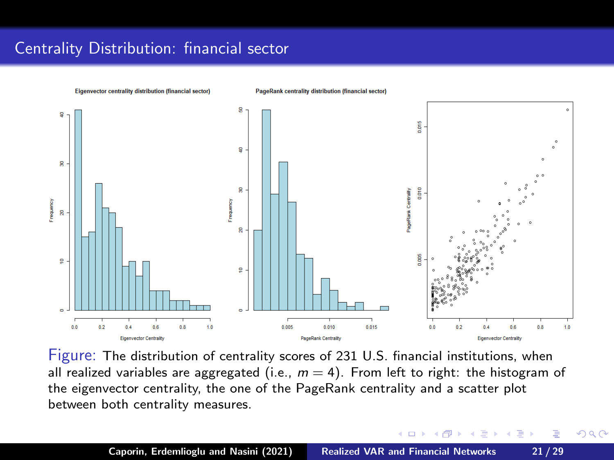# <span id="page-20-0"></span>Centrality Distribution: financial sector



Figure: The distribution of centrality scores of 231 U.S. financial institutions, when all realized variables are aggregated (i.e.,  $m = 4$ ). From left to right: the histogram of the eigenvector centrality, the one of the PageRank centrality and a scatter plot between both centrality measures.

4 m \* 4 m \* 4 m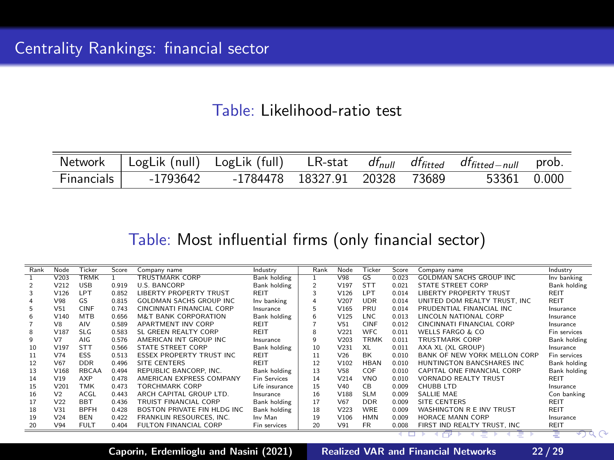## Table: Likelihood-ratio test

<span id="page-21-0"></span>

|            | Network   LogLik (null) LogLik (full) LR-stat $df_{null}$ $df_{fitted}$ $df_{fitted-null}$ prob. |                               |  |             |  |
|------------|--------------------------------------------------------------------------------------------------|-------------------------------|--|-------------|--|
| Financials | -1793642                                                                                         | -1784478 18327.91 20328 73689 |  | 53361 0.000 |  |

## Table: Most influential firms (only financial sector)

| Rank | Node            | Ticker       | Score | Company name                     | Industry            | Rank           | Node             | Ticker      | Score | Company name                        | Industry     |
|------|-----------------|--------------|-------|----------------------------------|---------------------|----------------|------------------|-------------|-------|-------------------------------------|--------------|
|      | V203            | <b>TRMK</b>  |       | <b>TRUSTMARK CORP</b>            | <b>Bank holding</b> |                | V98              | GS          | 0.023 | <b>GOLDMAN SACHS GROUP INC</b>      | Inv banking  |
|      | V212            | <b>USB</b>   | 0.919 | U.S. BANCORP                     | Bank holding        | $\overline{2}$ | V197             | <b>STT</b>  | 0.021 | STATE STREET CORP                   | Bank holding |
| 3    | V126            | <b>IPT</b>   | 0.852 | <b>IRERTY PROPERTY TRUST</b>     | REIT                | 3              | V126             | <b>IPT</b>  | 0.014 | LIBERTY PROPERTY TRUST              | REIT         |
|      | V98             | GS.          | 0.815 | GOI DMAN SACHS GROUP INC.        | Inv banking         | 4              | V207             | <b>UDR</b>  | 0.014 | UNITED DOM REALTY TRUST. INC.       | RFIT         |
| 5.   | V51             | CINF         | 0.743 | CINCINNATI FINANCIAL CORP        | Insurance           | 5              | V165             | PRU         | 0.014 | PRUDENTIAL FINANCIAL INC.           | Insurance    |
| 6.   | V140            | <b>MTB</b>   | 0.656 | <b>M&amp;T BANK CORPORATION</b>  | Bank holding        | 6              | V125             | LNC         | 0.013 | LINCOLN NATIONAL CORP               | Insurance    |
|      | V <sub>8</sub>  | AIV          | 0.589 | APARTMENT INV CORP               | <b>REIT</b>         |                | V51              | CINF        | 0.012 | CINCINNATI FINANCIAL CORP           | Insurance    |
| 8    | V187            | SLG.         | 0.583 | SL GREEN REALTY CORP             | <b>REIT</b>         | 8              | V221             | <b>WFC</b>  | 0.011 | WELLS FARGO & CO.                   | Fin services |
| ۹    | V <sub>7</sub>  | AIG          | 0.576 | AMERICAN INT GROUP INC           | Insurance           | q              | V203             | <b>TRMK</b> | 0.011 | <b>TRUSTMARK CORP</b>               | Bank holding |
| 10   | V197            | <b>STT</b>   | 0.566 | <b>STATE STREET CORP</b>         | Bank holding        | 10             | V <sub>231</sub> | XL          | 0.011 | AXA XL (XL GROUP)                   | Insurance    |
| 11   | V74             | <b>ESS</b>   | 0.513 | <b>FSSEX PROPERTY TRUST INC.</b> | REIT                | 11             | V26              | <b>RK</b>   | 0.010 | <b>BANK OF NEW YORK MELLON CORP</b> | Fin services |
| 12   | V67             | <b>DDR</b>   | 0.496 | SITE CENTERS                     | <b>REIT</b>         | 12             | V102             | HRAN        | 0.010 | HUNTINGTON BANCSHARES INC           | Bank holding |
| 13   | V168            | <b>RBCAA</b> | 0.494 | REPUBLIC BANCORP. INC.           | Bank holding        | 13             | <b>V58</b>       | COF         | 0.010 | CAPITAL ONE FINANCIAL CORP          | Bank holding |
| 14   | V19             | AXP          | 0.478 | AMERICAN EXPRESS COMPANY         | <b>Fin Services</b> | 14             | V214             | <b>VNO</b>  | 0.010 | VORNADO REALTY TRUST                | <b>REIT</b>  |
| 15   | V201            | <b>TMK</b>   | 0.473 | TORCHMARK CORP                   | Life insurance      | 15             | V40              | <b>CB</b>   | 0.009 | CHURR LTD                           | Insurance    |
| 16   | V <sub>2</sub>  | ACGL         | 0.443 | ARCH CAPITAL GROUP LTD           | Insurance           | 16             | V188             | <b>SLM</b>  | 0.009 | SALLIE MAE                          | Con banking  |
| 17   | V <sub>22</sub> | <b>BBT</b>   | 0.436 | TRUIST FINANCIAL CORP            | Bank holding        | 17             | V67              | <b>DDR</b>  | 0.009 | SITE CENTERS                        | <b>REIT</b>  |
| 18   | V31             | <b>RPFH</b>  | 0.428 | BOSTON PRIVATE FIN HLDG INC.     | Bank holding        | 18             | V223             | WRF         | 0.009 | WASHINGTON R E INV TRUST            | <b>REIT</b>  |
| 19   | V24             | <b>BEN</b>   | 0.422 | FRANKLIN RESOURCES. INC.         | Inv Man             | 19             | V106             | HMN         | 0.009 | HORACE MANN CORP                    | Insurance    |
| 20   | V94             | <b>FULT</b>  | 0.404 | FULTON FINANCIAL CORP            | Fin services        | 20             | V91              | <b>FR</b>   | 0.008 | FIRST IND REALTY TRUST. INC         | <b>REIT</b>  |

Caporin, Erdemlioglu and Nasini (2021) [Realized VAR and Financial Networks](#page-0-0) 22 / 29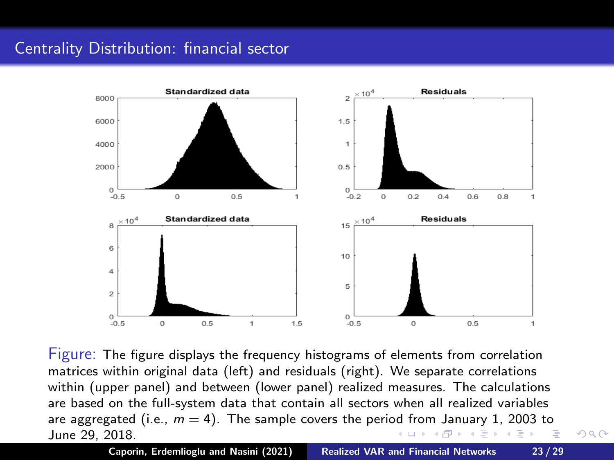# <span id="page-22-0"></span>Centrality Distribution: financial sector



Figure: The figure displays the frequency histograms of elements from correlation matrices within original data (left) and residuals (right). We separate correlations within (upper panel) and between (lower panel) realized measures. The calculations are based on the full-system data that contain all sectors when all realized variables are aggregated (i.e.,  $m = 4$  $m = 4$ ). The sample covers the peri[od](#page-21-0) f[ro](#page-23-0)m [Ja](#page-22-0)[nu](#page-23-0)[ary](#page-0-0) [1,](#page-30-0) [20](#page-0-0)[03](#page-30-0) [to](#page-0-0) June 29, 2018. イロン イ団ン イヨン イヨン 一番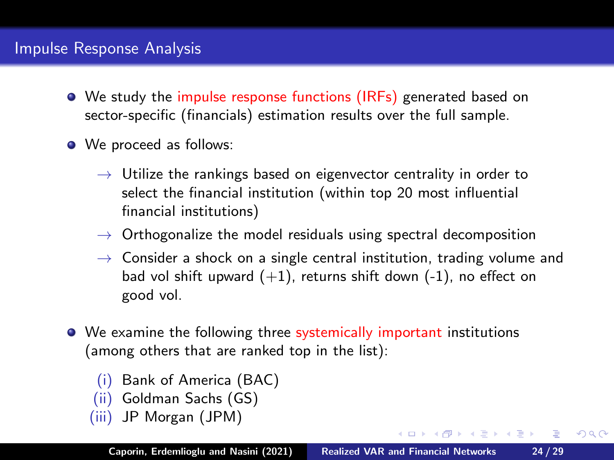# <span id="page-23-0"></span>Impulse Response Analysis

- We study the impulse response functions (IRFs) generated based on sector-specific (financials) estimation results over the full sample.
- We proceed as follows:
	- $\rightarrow$  Utilize the rankings based on eigenvector centrality in order to select the financial institution (within top 20 most influential financial institutions)
	- $\rightarrow$  Orthogonalize the model residuals using spectral decomposition
	- $\rightarrow$  Consider a shock on a single central institution, trading volume and bad vol shift upward  $(+1)$ , returns shift down  $(-1)$ , no effect on good vol.
- We examine the following three systemically important institutions (among others that are ranked top in the list):
	- (i) Bank of America (BAC)
	- (ii) Goldman Sachs (GS)
	- (iii) JP Morgan (JPM)

Caporin, Erdemlioglu and Nasini (2021) [Realized VAR and Financial Networks](#page-0-0) 24 / 29

イロメ イ母メ イヨメ イヨメー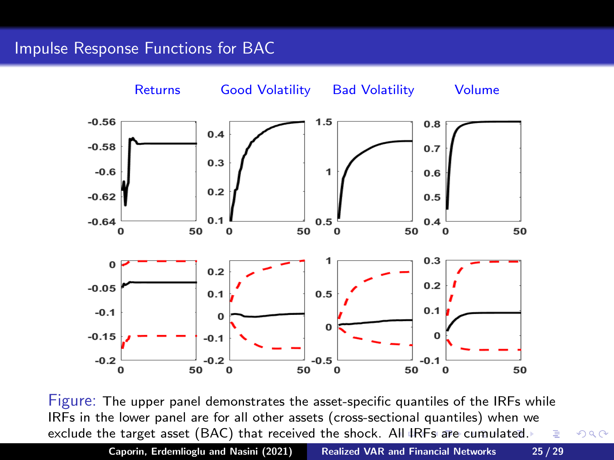## <span id="page-24-0"></span>Impulse Response Functions for BAC



Figure: The upper panel demonstrates the asset-specific quantiles of the IRFs while IRFs in the lower panel are for all other assets (cross-sectional quantiles) when we exclude the target asset (BAC) that received the shock. [All](#page-23-0)I[RF](#page-25-0)[s](#page-23-0) [are](#page-24-0) [cum](#page-0-0)[ul](#page-30-0)[ate](#page-0-0)[d.](#page-30-0)

Caporin, Erdemlioglu and Nasini (2021) [Realized VAR and Financial Networks](#page-0-0) 25 / 29

 $299$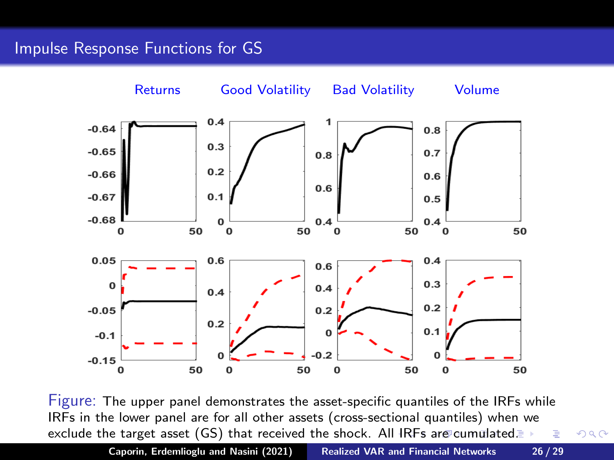## <span id="page-25-0"></span>Impulse Response Functions for GS



Figure: The upper panel demonstrates the asset-specific quantiles of the IRFs while IRFs in the lower panel are for all other assets (cross-sectional quantiles) when we exclude the target asset (GS) that received the shock. Al[l IR](#page-24-0)[Fs](#page-26-0) [ar](#page-24-0)[e](#page-25-0)[c](#page-25-0)[u](#page-26-0)[mu](#page-0-0)[lat](#page-30-0)[ed.](#page-0-0) 店

Caporin, Erdemlioglu and Nasini (2021) [Realized VAR and Financial Networks](#page-0-0) 26 / 29

 $299$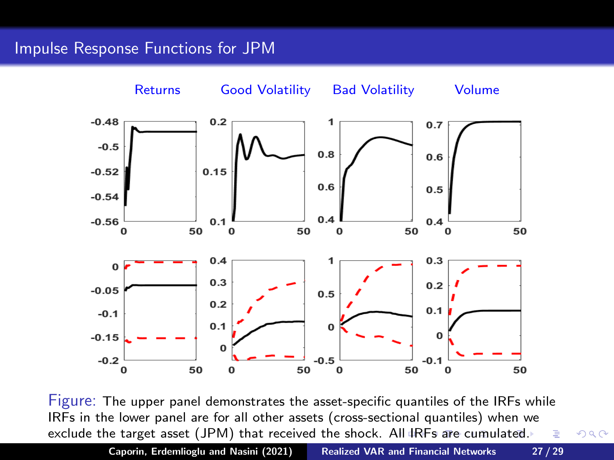## <span id="page-26-0"></span>Impulse Response Functions for JPM



Figure: The upper panel demonstrates the asset-specific quantiles of the IRFs while IRFs in the lower panel are for all other assets (cross-sectional quantiles) when we exclude the target asset (JPM) that received the shock. [All](#page-25-0)I[RF](#page-27-0)[s](#page-25-0) [are](#page-26-0) [cum](#page-0-0)[ul](#page-30-0)[ate](#page-0-0)[d.](#page-30-0)

Caporin, Erdemlioglu and Nasini (2021) [Realized VAR and Financial Networks](#page-0-0) 27 / 29

つくへ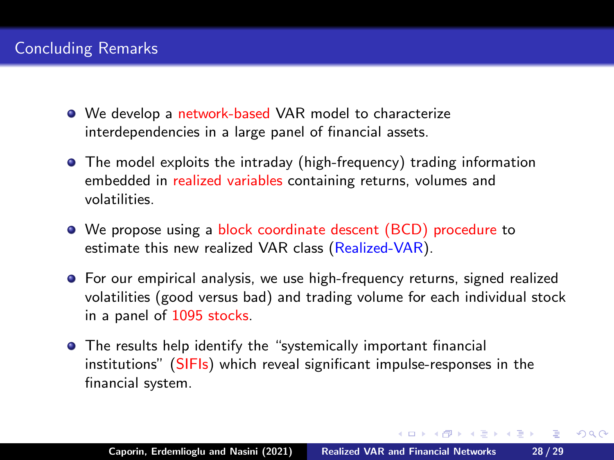- <span id="page-27-0"></span>• We develop a network-based VAR model to characterize interdependencies in a large panel of financial assets.
- The model exploits the intraday (high-frequency) trading information embedded in realized variables containing returns, volumes and volatilities.
- We propose using a block coordinate descent (BCD) procedure to estimate this new realized VAR class (Realized-VAR).
- For our empirical analysis, we use high-frequency returns, signed realized volatilities (good versus bad) and trading volume for each individual stock in a panel of 1095 stocks.
- **•** The results help identify the "systemically important financial institutions" (SIFIs) which reveal significant impulse-responses in the financial system.

 $(0.12.5 \pm 0.000)$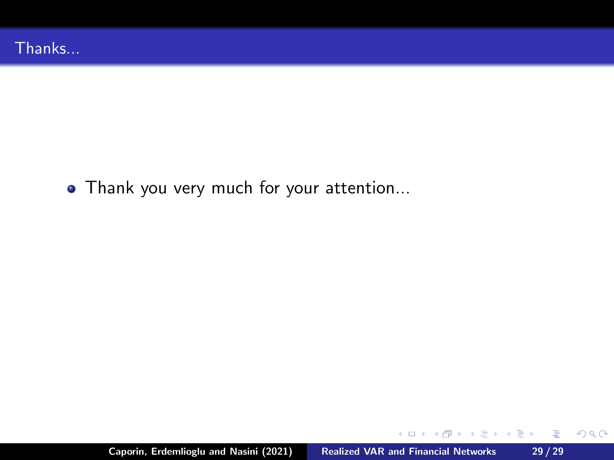• Thank you very much for your attention...

**K ロ ▶ K 御 ▶ K 舌** 

4. 동 )

**II** 

后

 $299$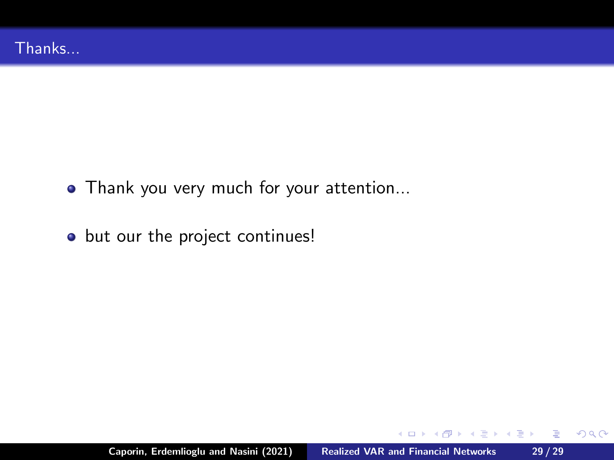- Thank you very much for your attention...
- o but our the project continues!

**COLLA** 

 $\overline{AB}$   $\overline{BC}$ 

医

4. 동 )

重